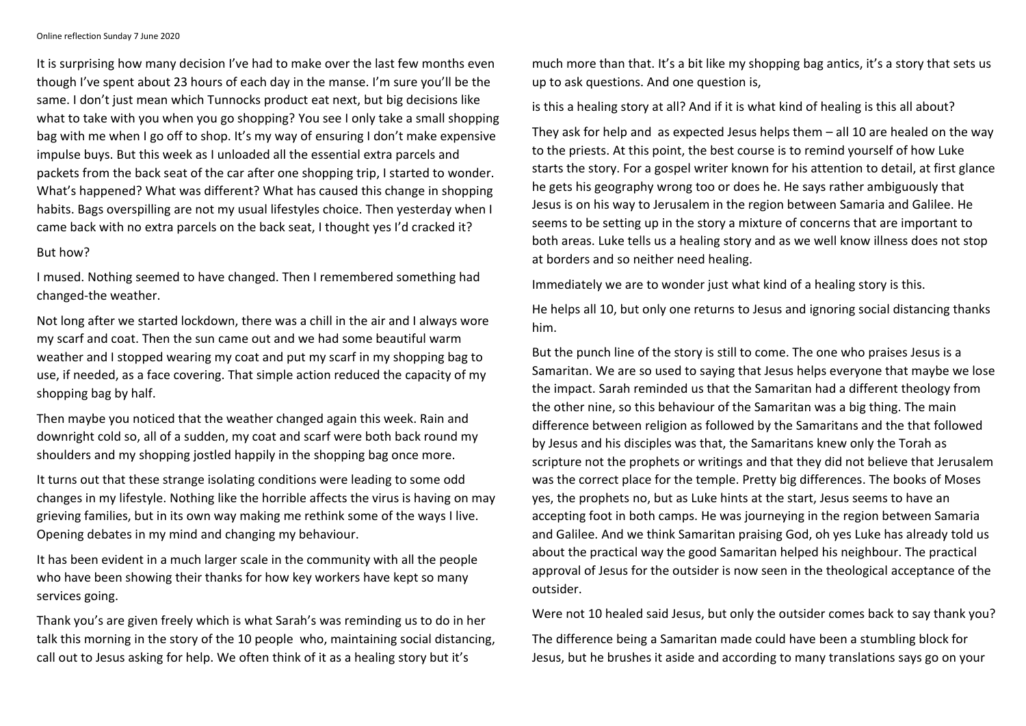Online reflection Sunday 7 June 2020

It is surprising how many decision I've had to make over the last few months even though I've spent about 23 hours of each day in the manse. I'm sure you'll be the same. I don't just mean which Tunnocks product eat next, but big decisions like what to take with you when you go shopping? You see I only take a small shopping bag with me when I go off to shop. It's my way of ensuring I don't make expensive impulse buys. But this week as I unloaded all the essential extra parcels and packets from the back seat of the car after one shopping trip, I started to wonder. What's happened? What was different? What has caused this change in shopping habits. Bags overspilling are not my usual lifestyles choice. Then yesterday when I came back with no extra parcels on the back seat, I thought yes I'd cracked it?

## But how?

I mused. Nothing seemed to have changed. Then I remembered something had changed-the weather.

Not long after we started lockdown, there was a chill in the air and I always wore my scarf and coat. Then the sun came out and we had some beautiful warm weather and I stopped wearing my coat and put my scarf in my shopping bag to use, if needed, as a face covering. That simple action reduced the capacity of my shopping bag by half.

Then maybe you noticed that the weather changed again this week. Rain and downright cold so, all of a sudden, my coat and scarf were both back round my shoulders and my shopping jostled happily in the shopping bag once more.

It turns out that these strange isolating conditions were leading to some odd changes in my lifestyle. Nothing like the horrible affects the virus is having on may grieving families, but in its own way making me rethink some of the ways I live. Opening debates in my mind and changing my behaviour.

It has been evident in a much larger scale in the community with all the people who have been showing their thanks for how key workers have kept so many services going.

Thank you's are given freely which is what Sarah's was reminding us to do in her talk this morning in the story of the 10 people who, maintaining social distancing, call out to Jesus asking for help. We often think of it as a healing story but it's

much more than that. It's a bit like my shopping bag antics, it's a story that sets us up to ask questions. And one question is,

is this a healing story at all? And if it is what kind of healing is this all about?

They ask for help and as expected Jesus helps them – all 10 are healed on the way to the priests. At this point, the best course is to remind yourself of how Luke starts the story. For a gospel writer known for his attention to detail, at first glance he gets his geography wrong too or does he. He says rather ambiguously that Jesus is on his way to Jerusalem in the region between Samaria and Galilee. He seems to be setting up in the story a mixture of concerns that are important to both areas. Luke tells us a healing story and as we well know illness does not stop at borders and so neither need healing.

Immediately we are to wonder just what kind of a healing story is this.

He helps all 10, but only one returns to Jesus and ignoring social distancing thanks him.

But the punch line of the story is still to come. The one who praises Jesus is a Samaritan. We are so used to saying that Jesus helps everyone that maybe we lose the impact. Sarah reminded us that the Samaritan had a different theology from the other nine, so this behaviour of the Samaritan was a big thing. The main difference between religion as followed by the Samaritans and the that followed by Jesus and his disciples was that, the Samaritans knew only the Torah as scripture not the prophets or writings and that they did not believe that Jerusalem was the correct place for the temple. Pretty big differences. The books of Moses yes, the prophets no, but as Luke hints at the start, Jesus seems to have an accepting foot in both camps. He was journeying in the region between Samaria and Galilee. And we think Samaritan praising God, oh yes Luke has already told us about the practical way the good Samaritan helped his neighbour. The practical approval of Jesus for the outsider is now seen in the theological acceptance of the outsider.

Were not 10 healed said Jesus, but only the outsider comes back to say thank you?

The difference being a Samaritan made could have been a stumbling block for Jesus, but he brushes it aside and according to many translations says go on your